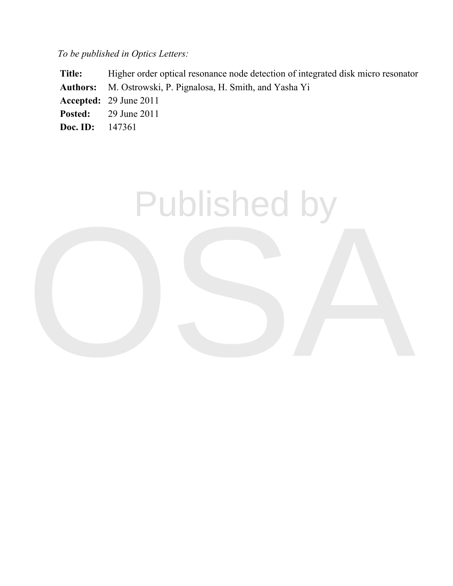*To be published in Optics Letters:*

**Title:** Higher order optical resonance node detection of integrated disk micro resonator **Authors:** M. Ostrowski, P. Pignalosa, H. Smith, and Yasha Yi **Accepted:** 29 June 2011 **Posted:** 29 June 2011 **Doc. ID:** 147361

Published by

OSA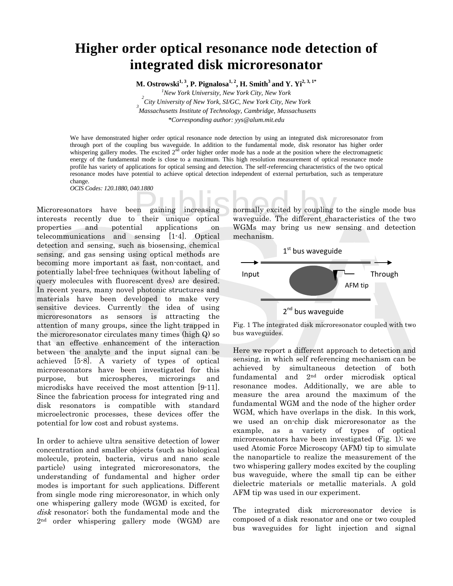## **Higher order optical resonance node detection of integrated disk microresonator**

**M. Ostrowski1, <sup>3</sup> , P. Pignalosa1, <sup>2</sup> , H. Smith<sup>3</sup> and Y. Yi2, 3, 1\***

*<sup>1</sup>New York University, New York City, New York 2 City University of New York, SI/GC, New York City, New York 3 Massachusetts Institute of Technology, Cambridge, Massachusetts*

*\*Corresponding author: yys@alum.mit.edu*

We have demonstrated higher order optical resonance node detection by using an integrated disk microresonator from through port of the coupling bus waveguide. In addition to the fundamental mode, disk resonator has higher order whispering gallery modes. The excited  $2<sup>nd</sup>$  order higher order mode has a node at the position where the electromagnetic whispering gallery modes. The excited  $2<sup>nd</sup>$  order higher order mode has a node at the posi energy of the fundamental mode is close to a maximum. This high resolution measurement of optical resonance mode profile has variety of applications for optical sensing and detection. The self-referencing characteristics of the two optical resonance modes have potential to achieve optical detection independent of external perturbation, such as temperature change.

*OCIS Codes: 120.1880, 040.1880*

interests recently due to their unique optical. Waveguide. The different characteristics of the two<br>properties and potential applications on WGMs may bring us new sensing and detection<br>telecommunications and sensing [1-4] Microresonators have been gaining increasing interests recently due to their unique optical properties and potential applications on telecommunications and sensing [1-4]. Optical detection and sensing, such as biosensing, chemical sensing, and gas sensing using optical methods are becoming more important as fast, non-contact, and potentially label-free techniques (without labeling of query molecules with fluorescent dyes) are desired. In recent years, many novel photonic structures and materials have been developed to make very sensitive devices. Currently the idea of using microresonators as sensors is attracting the attention of many groups, since the light trapped in the microresonator circulates many times (high Q) so that an effective enhancement of the interaction between the analyte and the input signal can be achieved [5-8]. A variety of types of optical microresonators have been investigated for this purpose, but microspheres, microrings and microdisks have received the most attention [9-11]. Since the fabrication process for integrated ring and disk resonators is compatible with standard microelectronic processes, these devices offer the potential for low cost and robust systems.

In order to achieve ultra sensitive detection of lower concentration and smaller objects (such as biological molecule, protein, bacteria, virus and nano scale particle) using integrated microresonators, the understanding of fundamental and higher order modes is important for such applications. Different from single mode ring microresonator, in which only one whispering gallery mode (WGM) is excited, for disk resonator; both the fundamental mode and the 2nd order whispering gallery mode (WGM) are

en gaining increasing normally excited by coupling<br>their unique optical waveguide. The different cha normally excited by coupling to the single mode bus waveguide. The different characteristics of the two WGMs may bring us new sensing and detection mechanism.



Fig. 1 The integrated disk microresonator coupled with two bus waveguides.

Here we report a different approach to detection and sensing, in which self referencing mechanism can be achieved by simultaneous detection of both fundamental and 2nd order microdisk optical resonance modes. Additionally, we are able to measure the area around the maximum of the fundamental WGM and the node of the higher order WGM, which have overlaps in the disk. In this work, we used an on-chip disk microresonator as the example, as a variety of types of optical microresonators have been investigated (Fig. 1); we used Atomic Force Microscopy (AFM) tip to simulate the nanoparticle to realize the measurement of the two whispering gallery modes excited by the coupling bus waveguide, where the small tip can be either dielectric materials or metallic materials. A gold AFM tip was used in our experiment.

The integrated disk microresonator device is composed of a disk resonator and one or two coupled bus waveguides for light injection and signal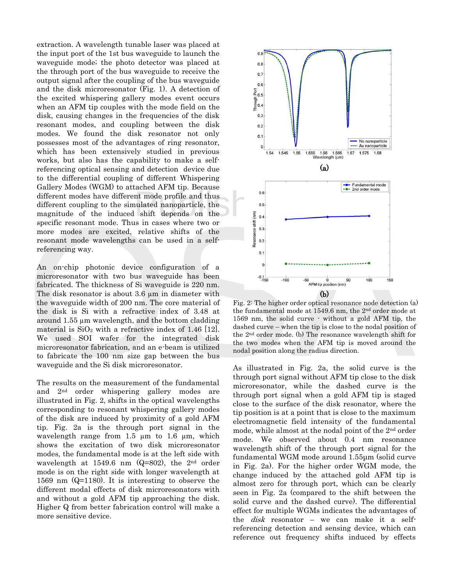extraction. A wavelength tunable laser was placed at the input port of the 1st bus waveguide to launch the waveguide mode; the photo detector was placed at the through port of the bus waveguide to receive the output signal after the coupling of the bus waveguide and the disk microresonator (Fig. 1). A detection of the excited whispering gallery modes event occurs when an AFM tip couples with the mode field on the disk, causing changes in the frequencies of the disk resonant modes, and coupling between the disk modes. We found the disk resonator not only possesses most of the advantages of ring resonator, which has been extensively studied in previous works, but also has the capability to make a selfreferencing optical sensing and detection device due to the differential coupling of different Whispering Gallery Modes (WGM) to attached AFM tip. Because different modes have different mode profile and thus different coupling to the simulated nanoparticle, the magnitude of the induced shift depends on the specific resonant mode. Thus in cases where two or more modes are excited, relative shifts of the resonant mode wavelengths can be used in a selfreferencing way.

specific resonant mode. Thus in cases where two or<br>
more modes are excited, relative shifts of the<br>
resonant mode wavelengths can be used in a self-<br>
resonant mode wavelengths can be used in a self-<br>
referencing way.<br>
An An on-chip photonic device configuration of a microresonator with two bus waveguide has been fabricated. The thickness of Si waveguide is 220 nm. The disk resonator is about 3.6 µm in diameter with the waveguide width of 200 nm. The core material of the disk is Si with a refractive index of 3.48 at around 1.55 µm wavelength, and the bottom cladding material is  $SiO<sub>2</sub>$  with a refractive index of 1.46 [12]. We used SOI wafer for the integrated disk microresonator fabrication, and an e-beam is utilized to fabricate the 100 nm size gap between the bus waveguide and the Si disk microresonator.

The results on the measurement of the fundamental and 2nd order whispering gallery modes are illustrated in Fig. 2, shifts in the optical wavelengths corresponding to resonant whispering gallery modes of the disk are induced by proximity of a gold AFM tip. Fig. 2a is the through port signal in the wavelength range from 1.5  $\mu$ m to 1.6  $\mu$ m, which shows the excitation of two disk microresonator modes, the fundamental mode is at the left side with wavelength at 1549.6 nm (Q=802), the 2nd order mode is on the right side with longer wavelength at 1569 nm (Q=1180). It is interesting to observe the different modal effects of disk microresonators with and without a gold AFM tip approaching the disk. Higher Q from better fabrication control will make a more sensitive device.



Fig. 2: The higher order optical resonance node detection (a) the fundamental mode at 1549.6 nm, the 2nd order mode at 1569 nm, the solid curve - without a gold AFM tip, the dashed curve – when the tip is close to the nodal position of the 2nd order mode. (b) The resonance wavelength shift for the two modes when the AFM tip is moved around the nodal position along the radius direction.

As illustrated in Fig. 2a, the solid curve is the through port signal without AFM tip close to the disk microresonator, while the dashed curve is the through port signal when a gold AFM tip is staged close to the surface of the disk resonator, where the tip position is at a point that is close to the maximum electromagnetic field intensity of the fundamental mode, while almost at the nodal point of the 2nd order mode. We observed about 0.4 nm resonance wavelength shift of the through port signal for the fundamental WGM mode around 1.55μm (solid curve in Fig. 2a). For the higher order WGM mode, the change induced by the attached gold AFM tip is almost zero for through port, which can be clearly seen in Fig. 2a (compared to the shift between the solid curve and the dashed curve). The differential effect for multiple WGMs indicates the advantages of the  $disk$  resonator – we can make it a selfreferencing detection and sensing device, which can reference out frequency shifts induced by effects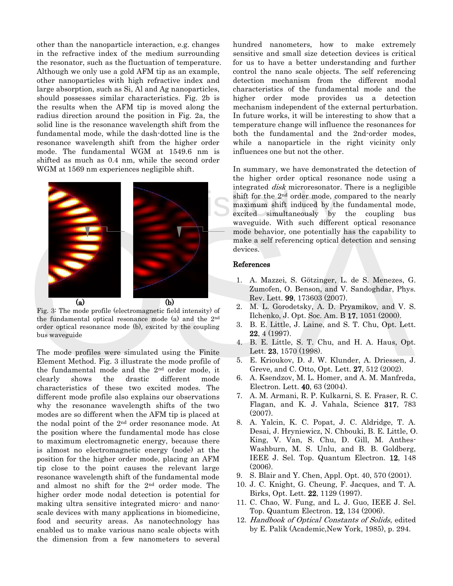other than the nanoparticle interaction, e.g. changes in the refractive index of the medium surrounding the resonator, such as the fluctuation of temperature. Although we only use a gold AFM tip as an example, other nanoparticles with high refractive index and large absorption, such as Si, Al and Ag nanoparticles, should possesses similar characteristics. Fig. 2b is the results when the AFM tip is moved along the radius direction around the position in Fig. 2a, the solid line is the resonance wavelength shift from the fundamental mode, while the dash-dotted line is the resonance wavelength shift from the higher order mode. The fundamental WGM at 1549.6 nm is shifted as much as 0.4 nm, while the second order WGM at 1569 nm experiences negligible shift.



Fig. 3: The mode profile (electromagnetic field intensity) of the fundamental optical resonance mode (a) and the 2nd order optical resonance mode (b), excited by the coupling bus waveguide

The mode profiles were simulated using the Finite Element Method. Fig. 3 illustrate the mode profile of the fundamental mode and the 2nd order mode, it clearly shows the drastic different mode characteristics of these two excited modes. The different mode profile also explains our observations why the resonance wavelength shifts of the two modes are so different when the AFM tip is placed at the nodal point of the 2nd order resonance mode. At the position where the fundamental mode has close to maximum electromagnetic energy, because there is almost no electromagnetic energy (node) at the position for the higher order mode, placing an AFM tip close to the point causes the relevant large resonance wavelength shift of the fundamental mode and almost no shift for the 2nd order mode. The higher order mode nodal detection is potential for making ultra sensitive integrated micro- and nanoscale devices with many applications in biomedicine, food and security areas. As nanotechnology has enabled us to make various nano scale objects with the dimension from a few nanometers to several hundred nanometers, how to make extremely sensitive and small size detection devices is critical for us to have a better understanding and further control the nano scale objects. The self referencing detection mechanism from the different modal characteristics of the fundamental mode and the higher order mode provides us a detection mechanism independent of the external perturbation. In future works, it will be interesting to show that a temperature change will influence the resonances for both the fundamental and the 2nd-order modes, while a nanoparticle in the right vicinity only influences one but not the other.

shift for the 2<sup>nd</sup> order mode, compared to the nearly<br>maximum shift induced by the fundamental mode,<br>excited simultaneously by the coupling bus<br>waveguide With such different ontical resonance In summary, we have demonstrated the detection of the higher order optical resonance node using a integrated *disk* microresonator. There is a negligible maximum shift induced by the fundamental mode, excited simultaneously by the coupling bus waveguide. With such different optical resonance mode behavior, one potentially has the capability to make a self referencing optical detection and sensing devices.

## References

- 1. A. Mazzei, S. Götzinger, L. de S. Menezes, G. Zumofen, O. Benson, and V. Sandoghdar, Phys. Rev. Lett. 99, 173603 (2007).
- 2. M. L. Gorodetsky, A. D. Pryamikov, and V. S. Ilchenko, J. Opt. Soc. Am. B 17, 1051 (2000).
- 3. B. E. Little, J. Laine, and S. T. Chu, Opt. Lett. 22, 4 (1997).
- 4. B. E. Little, S. T. Chu, and H. A. Haus, Opt. Lett. 23, 1570 (1998).
- 5. E. Krioukov, D. J. W. Klunder, A. Driessen, J. Greve, and C. Otto, Opt. Lett. 27, 512 (2002).
- 6. A. Ksendzov, M. L. Homer, and A. M. Manfreda, Electron. Lett. 40, 63 (2004).
- 7. A. M. Armani, R. P. Kulkarni, S. E. Fraser, R. C. Flagan, and K. J. Vahala, Science 317, 783 (2007).
- 8. A. Yalcin, K. C. Popat, J. C. Aldridge, T. A. Desai, J. Hryniewicz, N. Chbouki, B. E. Little, O. King, V. Van, S. Chu, D. Gill, M. Anthes-Washburn, M. S. Unlu, and B. B. Goldberg, IEEE J. Sel. Top. Quantum Electron. 12, 148 (2006).
- 9. S. Blair and Y. Chen, Appl. Opt. 40, 570 (2001).
- 10. J. C. Knight, G. Cheung, F. Jacques, and T. A. Birks, Opt. Lett. 22, 1129 (1997).
- 11. C. Chao, W. Fung, and L. J. Guo, IEEE J. Sel. Top. Quantum Electron. 12, 134 (2006).
- 12. Handbook of Optical Constants of Solids, edited by E. Palik (Academic,New York, 1985), p. 294.